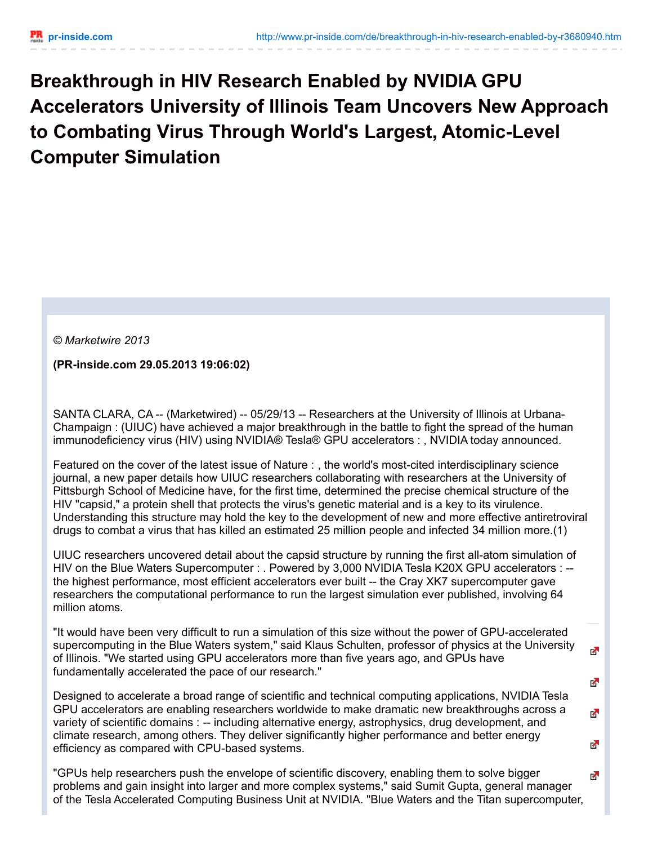**Breakthrough in HIV Research Enabled by NVIDIA GPU Accelerators University of Illinois Team Uncovers New Approach to Combating Virus Through World's Largest, Atomic-Level Computer Simulation**

*© Marketwire 2013*

**(PR-inside.com 29.05.2013 19:06:02)**

SANTA CLARA, CA -- (Marketwired) -- 05/29/13 -- Researchers at the University of Illinois at Urbana-Champaign : (UIUC) have achieved a major breakthrough in the battle to fight the spread of the human immunodeficiency virus (HIV) using NVIDIA® Tesla® GPU accelerators : , NVIDIA today announced.

Featured on the cover of the latest issue of Nature : , the world's most-cited interdisciplinary science journal, a new paper details how UIUC researchers collaborating with researchers at the University of Pittsburgh School of Medicine have, for the first time, determined the precise chemical structure of the HIV "capsid," a protein shell that protects the virus's genetic material and is a key to its virulence. Understanding this structure may hold the key to the development of new and more effective antiretroviral drugs to combat a virus that has killed an estimated 25 million people and infected 34 million more.(1)

UIUC researchers uncovered detail about the capsid structure by running the first all-atom simulation of HIV on the Blue Waters Supercomputer : . Powered by 3,000 NVIDIA Tesla K20X GPU accelerators : - the highest performance, most efficient accelerators ever built -- the Cray XK7 supercomputer gave researchers the computational performance to run the largest simulation ever published, involving 64 million atoms.

"It would have been very difficult to run a simulation of this size without the power of GPU-accelerated supercomputing in the Blue Waters system," said Klaus Schulten, professor of physics at the University Ø of Illinois. "We started using GPU accelerators more than five years ago, and GPUs have fundamentally accelerated the pace of our research." A

Designed to accelerate a broad range of scientific and technical computing applications, NVIDIA Tesla GPU accelerators are enabling researchers worldwide to make dramatic new breakthroughs across a variety of scientific domains : -- including alternative energy, astrophysics, drug development, and climate research, among others. They deliver significantly higher performance and better energy efficiency as compared with CPU-based systems.

M

Ā

"GPUs help researchers push the envelope of scientific discovery, enabling them to solve bigger × problems and gain insight into larger and more complex systems," said Sumit Gupta, general manager of the Tesla Accelerated Computing Business Unit at NVIDIA. "Blue Waters and the Titan supercomputer,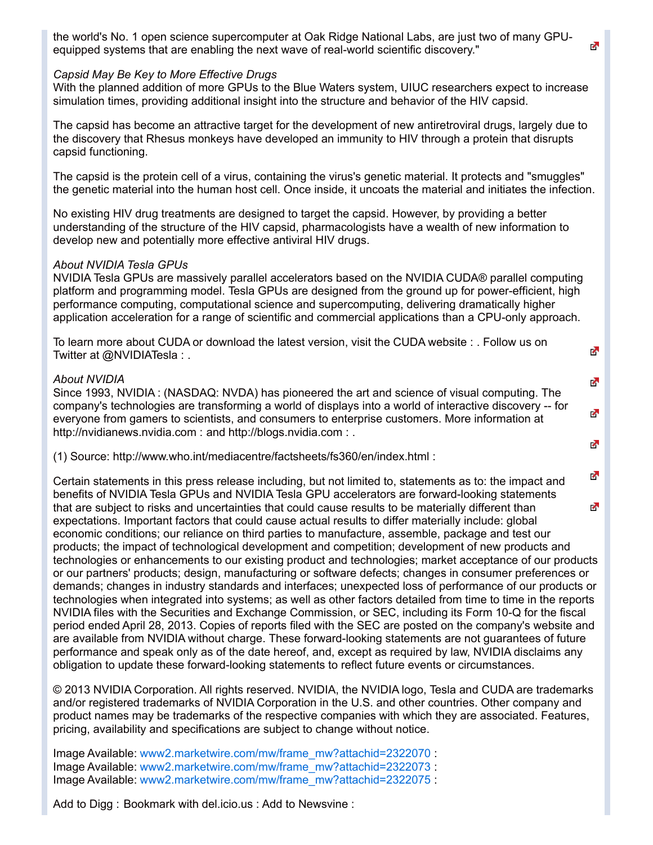the world's No. 1 open science supercomputer at Oak Ridge National Labs, are just two of many GPUequipped systems that are enabling the next wave of real-world scientific discovery."

#### *Capsid May Be Key to More Effective Drugs*

With the planned addition of more GPUs to the Blue Waters system, UIUC researchers expect to increase simulation times, providing additional insight into the structure and behavior of the HIV capsid.

The capsid has become an attractive target for the development of new antiretroviral drugs, largely due to the discovery that Rhesus monkeys have developed an immunity to HIV through a protein that disrupts capsid functioning.

The capsid is the protein cell of a virus, containing the virus's genetic material. It protects and "smuggles" the genetic material into the human host cell. Once inside, it uncoats the material and initiates the infection.

No existing HIV drug treatments are designed to target the capsid. However, by providing a better understanding of the structure of the HIV capsid, pharmacologists have a wealth of new information to develop new and potentially more effective antiviral HIV drugs.

### *About NVIDIA Tesla GPUs*

NVIDIA Tesla GPUs are massively parallel accelerators based on the NVIDIA CUDA® parallel computing platform and programming model. Tesla GPUs are designed from the ground up for power-efficient, high performance computing, computational science and supercomputing, delivering dramatically higher application acceleration for a range of scientific and commercial applications than a CPU-only approach.

To learn more about CUDA or download the latest version, visit the CUDA website : . Follow us on Twitter at @NVIDIATesla : .

#### *About NVIDIA*

Since 1993, NVIDIA : (NASDAQ: NVDA) has pioneered the art and science of visual computing. The company's technologies are transforming a world of displays into a world of interactive discovery -- for everyone from gamers to scientists, and consumers to enterprise customers. More information at http://nvidianews.nvidia.com : and http://blogs.nvidia.com : .

(1) Source: http://www.who.int/mediacentre/factsheets/fs360/en/index.html :

Z. Certain statements in this press release including, but not limited to, statements as to: the impact and benefits of NVIDIA Tesla GPUs and NVIDIA Tesla GPU accelerators are forward-looking statements that are subject to risks and uncertainties that could cause results to be materially different than Z. expectations. Important factors that could cause actual results to differ materially include: global economic conditions; our reliance on third parties to manufacture, assemble, package and test our products; the impact of technological development and competition; development of new products and technologies or enhancements to our existing product and technologies; market acceptance of our products or our partners' products; design, manufacturing or software defects; changes in consumer preferences or demands; changes in industry standards and interfaces; unexpected loss of performance of our products or technologies when integrated into systems; as well as other factors detailed from time to time in the reports NVIDIA files with the Securities and Exchange Commission, or SEC, including its Form 10-Q for the fiscal period ended April 28, 2013. Copies of reports filed with the SEC are posted on the company's website and are available from NVIDIA without charge. These forward-looking statements are not guarantees of future performance and speak only as of the date hereof, and, except as required by law, NVIDIA disclaims any obligation to update these forward-looking statements to reflect future events or circumstances.

© 2013 NVIDIA Corporation. All rights reserved. NVIDIA, the NVIDIA logo, Tesla and CUDA are trademarks and/or registered trademarks of NVIDIA Corporation in the U.S. and other countries. Other company and product names may be trademarks of the respective companies with which they are associated. Features, pricing, availability and specifications are subject to change without notice.

Image Available: [www2.marketwire.com/mw/frame\\_mw?attachid=2322070](http://www2.marketwire.com/mw/frame_mw?attachid=2322070) : Image Available: [www2.marketwire.com/mw/frame\\_mw?attachid=2322073](http://www2.marketwire.com/mw/frame_mw?attachid=2322073) : Image Available: [www2.marketwire.com/mw/frame\\_mw?attachid=2322075](http://www2.marketwire.com/mw/frame_mw?attachid=2322075) :

Add to Digg : Bookmark with del.icio.us : Add to Newsvine :

Ā

Ñ.

Ñ,

Ø.

×